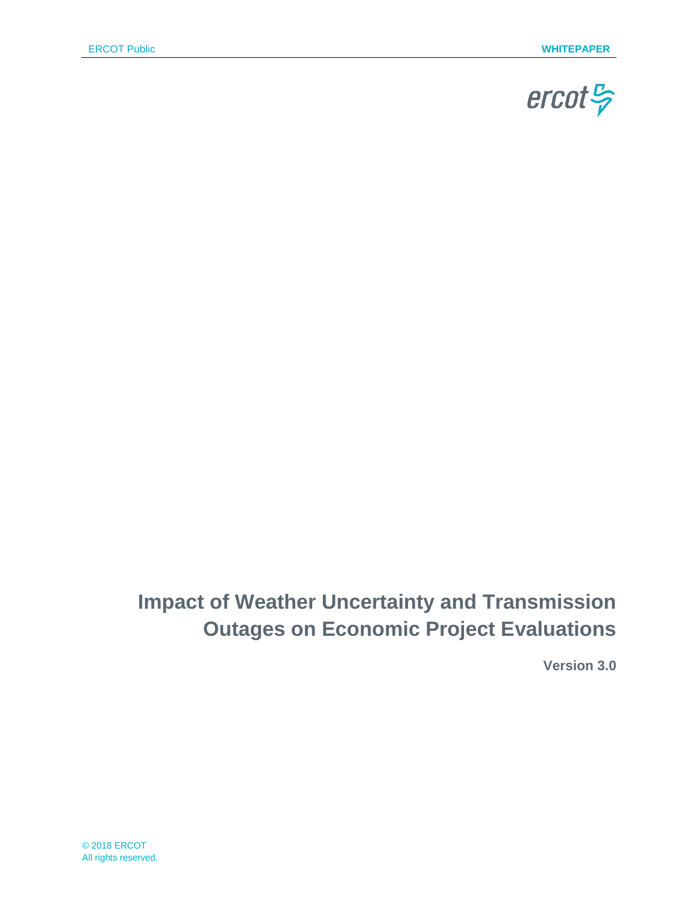

# **Impact of Weather Uncertainty and Transmission Outages on Economic Project Evaluations**

**Version 3.0**

© 2018 ERCOT All rights reserved.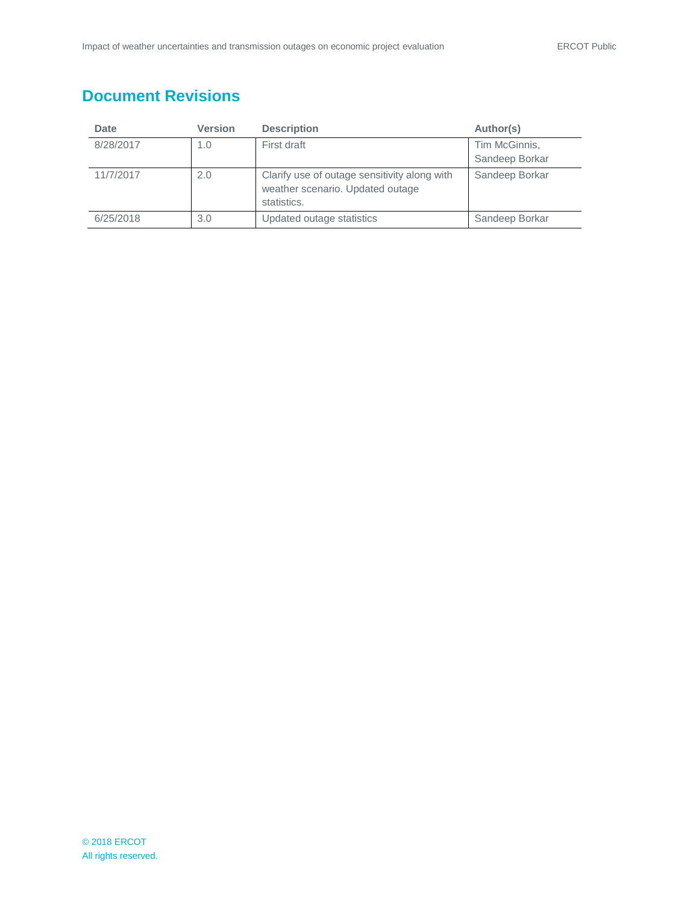# **Document Revisions**

| <b>Date</b> | <b>Version</b> | <b>Description</b>                                                                              | Author(s)                       |
|-------------|----------------|-------------------------------------------------------------------------------------------------|---------------------------------|
| 8/28/2017   | 1.0            | First draft                                                                                     | Tim McGinnis,<br>Sandeep Borkar |
| 11/7/2017   | 2.0            | Clarify use of outage sensitivity along with<br>weather scenario. Updated outage<br>statistics. | Sandeep Borkar                  |
| 6/25/2018   | 3.0            | Updated outage statistics                                                                       | Sandeep Borkar                  |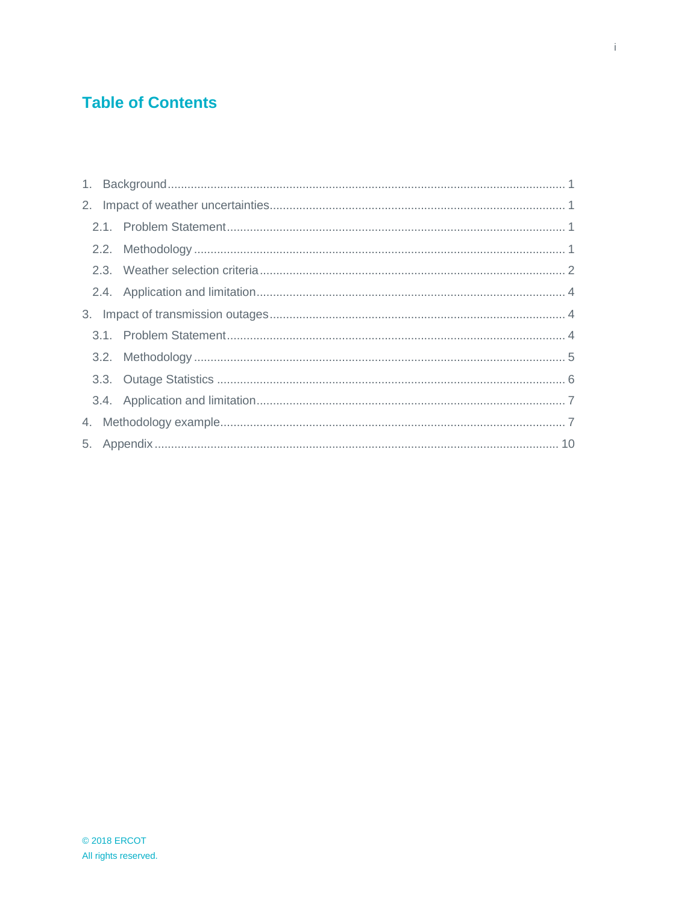# **Table of Contents**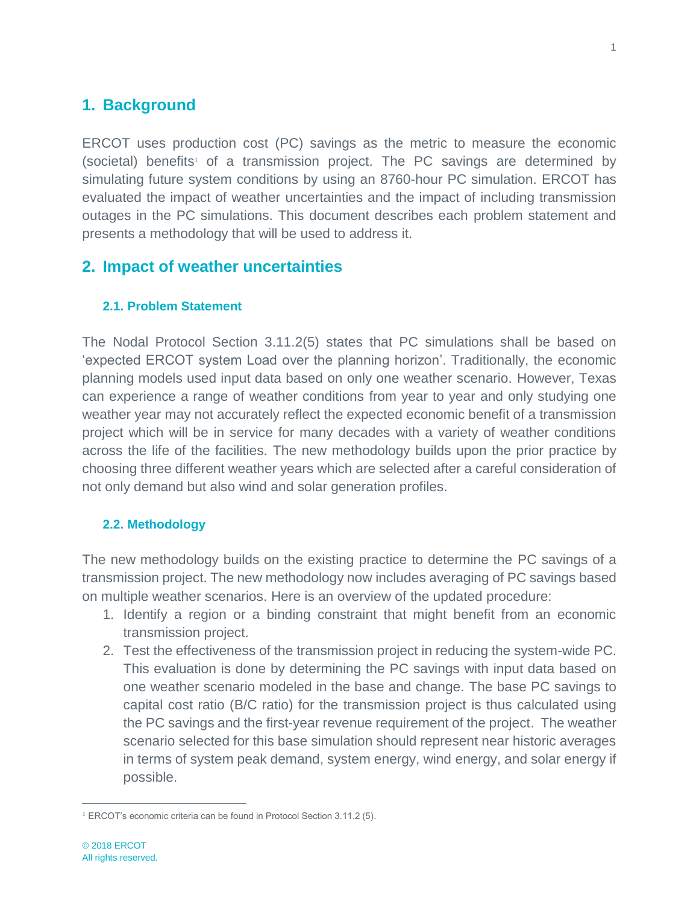# <span id="page-3-0"></span>**1. Background**

<span id="page-3-4"></span>ERCOT uses production cost (PC) savings as the metric to measure the economic (societal) benefits<sup>1</sup> of a transmission project. The PC savings are determined by simulating future system conditions by using an 8760-hour PC simulation. ERCOT has evaluated the impact of weather uncertainties and the impact of including transmission outages in the PC simulations. This document describes each problem statement and presents a methodology that will be used to address it.

# <span id="page-3-1"></span>**2. Impact of weather uncertainties**

### <span id="page-3-2"></span>**2.1. Problem Statement**

The Nodal Protocol Section 3.11.2(5) states that PC simulations shall be based on 'expected ERCOT system Load over the planning horizon'. Traditionally, the economic planning models used input data based on only one weather scenario. However, Texas can experience a range of weather conditions from year to year and only studying one weather year may not accurately reflect the expected economic benefit of a transmission project which will be in service for many decades with a variety of weather conditions across the life of the facilities. The new methodology builds upon the prior practice by choosing three different weather years which are selected after a careful consideration of not only demand but also wind and solar generation profiles.

### <span id="page-3-3"></span>**2.2. Methodology**

The new methodology builds on the existing practice to determine the PC savings of a transmission project. The new methodology now includes averaging of PC savings based on multiple weather scenarios. Here is an overview of the updated procedure:

- 1. Identify a region or a binding constraint that might benefit from an economic transmission project.
- 2. Test the effectiveness of the transmission project in reducing the system-wide PC. This evaluation is done by determining the PC savings with input data based on one weather scenario modeled in the base and change. The base PC savings to capital cost ratio (B/C ratio) for the transmission project is thus calculated using the PC savings and the first-year revenue requirement of the project. The weather scenario selected for this base simulation should represent near historic averages in terms of system peak demand, system energy, wind energy, and solar energy if possible.

 $\overline{a}$ <sup>1</sup> ERCOT's economic criteria can be found in Protocol Section 3.11.2 (5).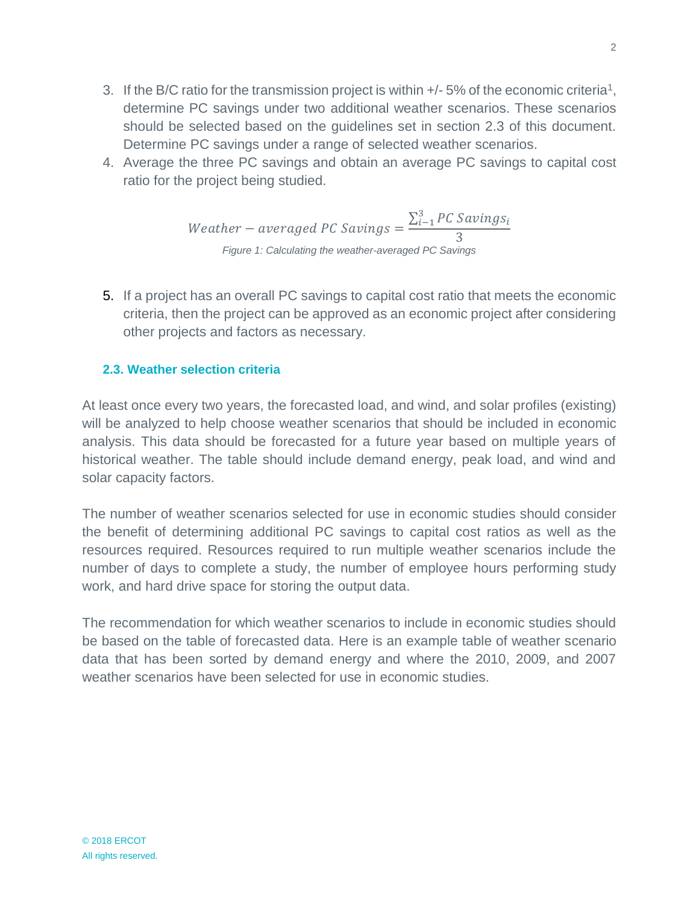- 3. If the B/C ratio for the transmission project is within  $+/-5\%$  of the economic criteria<sup>[1](#page-3-4)</sup>, determine PC savings under two additional weather scenarios. These scenarios should be selected based on the guidelines set in section 2.3 of this document. Determine PC savings under a range of selected weather scenarios.
- 4. Average the three PC savings and obtain an average PC savings to capital cost ratio for the project being studied.

*Weather* – averaged *PC Savings* = 
$$
\frac{\sum_{i=1}^{3} PC\,Savings}{3}
$$
  
*Figure 1: Calculating the weather-averaged PC Savings*

5. If a project has an overall PC savings to capital cost ratio that meets the economic criteria, then the project can be approved as an economic project after considering other projects and factors as necessary.

## <span id="page-4-0"></span>**2.3. Weather selection criteria**

At least once every two years, the forecasted load, and wind, and solar profiles (existing) will be analyzed to help choose weather scenarios that should be included in economic analysis. This data should be forecasted for a future year based on multiple years of historical weather. The table should include demand energy, peak load, and wind and solar capacity factors.

The number of weather scenarios selected for use in economic studies should consider the benefit of determining additional PC savings to capital cost ratios as well as the resources required. Resources required to run multiple weather scenarios include the number of days to complete a study, the number of employee hours performing study work, and hard drive space for storing the output data.

The recommendation for which weather scenarios to include in economic studies should be based on the table of forecasted data. Here is an example table of weather scenario data that has been sorted by demand energy and where the 2010, 2009, and 2007 weather scenarios have been selected for use in economic studies.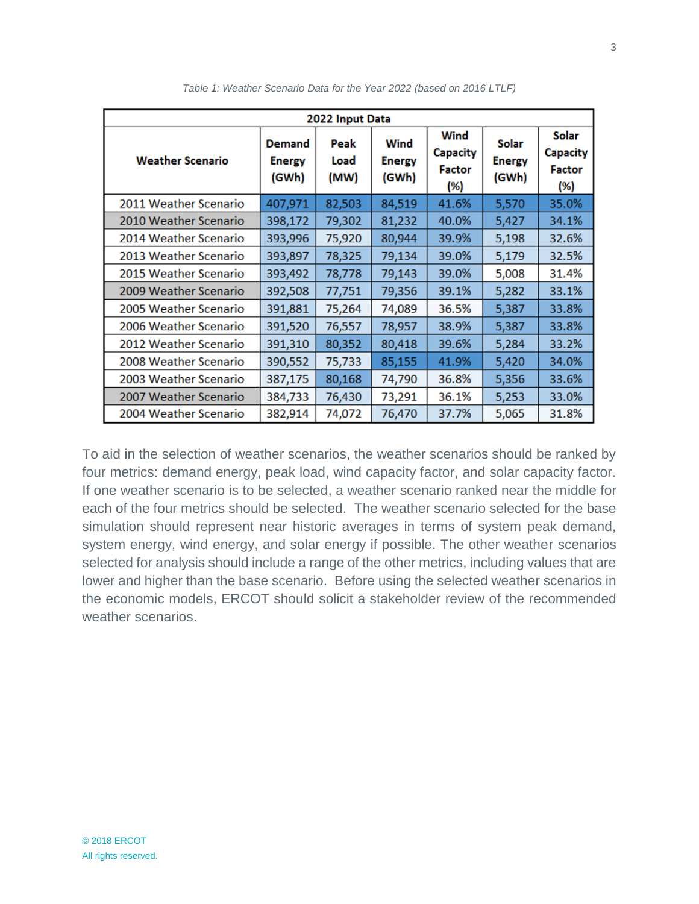| 2022 Input Data         |                                         |                      |                                |                                          |                                        |                                                  |  |
|-------------------------|-----------------------------------------|----------------------|--------------------------------|------------------------------------------|----------------------------------------|--------------------------------------------------|--|
| <b>Weather Scenario</b> | <b>Demand</b><br><b>Energy</b><br>(GWh) | Peak<br>Load<br>(MW) | Wind<br><b>Energy</b><br>(GWh) | Wind<br><b>Capacity</b><br>Factor<br>(%) | <b>Solar</b><br><b>Energy</b><br>(GWh) | Solar<br><b>Capacity</b><br><b>Factor</b><br>(%) |  |
| 2011 Weather Scenario   | 407,971                                 | 82,503               | 84,519                         | 41.6%                                    | 5,570                                  | 35.0%                                            |  |
| 2010 Weather Scenario   | 398,172                                 | 79,302               | 81,232                         | 40.0%                                    | 5,427                                  | 34.1%                                            |  |
| 2014 Weather Scenario   | 393,996                                 | 75,920               | 80,944                         | 39.9%                                    | 5,198                                  | 32.6%                                            |  |
| 2013 Weather Scenario   | 393,897                                 | 78,325               | 79,134                         | 39.0%                                    | 5,179                                  | 32.5%                                            |  |
| 2015 Weather Scenario   | 393,492                                 | 78,778               | 79,143                         | 39.0%                                    | 5,008                                  | 31.4%                                            |  |
| 2009 Weather Scenario   | 392,508                                 | 77,751               | 79,356                         | 39.1%                                    | 5,282                                  | 33.1%                                            |  |
| 2005 Weather Scenario   | 391,881                                 | 75,264               | 74,089                         | 36.5%                                    | 5,387                                  | 33.8%                                            |  |
| 2006 Weather Scenario   | 391,520                                 | 76,557               | 78,957                         | 38.9%                                    | 5,387                                  | 33.8%                                            |  |
| 2012 Weather Scenario   | 391,310                                 | 80,352               | 80,418                         | 39.6%                                    | 5,284                                  | 33.2%                                            |  |
| 2008 Weather Scenario   | 390,552                                 | 75,733               | 85,155                         | 41.9%                                    | 5,420                                  | 34.0%                                            |  |
| 2003 Weather Scenario   | 387,175                                 | 80,168               | 74,790                         | 36.8%                                    | 5,356                                  | 33.6%                                            |  |
| 2007 Weather Scenario   | 384,733                                 | 76,430               | 73,291                         | 36.1%                                    | 5,253                                  | 33.0%                                            |  |
| 2004 Weather Scenario   | 382,914                                 | 74,072               | 76,470                         | 37.7%                                    | 5,065                                  | 31.8%                                            |  |

*Table 1: Weather Scenario Data for the Year 2022 (based on 2016 LTLF)*

To aid in the selection of weather scenarios, the weather scenarios should be ranked by four metrics: demand energy, peak load, wind capacity factor, and solar capacity factor. If one weather scenario is to be selected, a weather scenario ranked near the middle for each of the four metrics should be selected. The weather scenario selected for the base simulation should represent near historic averages in terms of system peak demand, system energy, wind energy, and solar energy if possible. The other weather scenarios selected for analysis should include a range of the other metrics, including values that are lower and higher than the base scenario. Before using the selected weather scenarios in the economic models, ERCOT should solicit a stakeholder review of the recommended weather scenarios.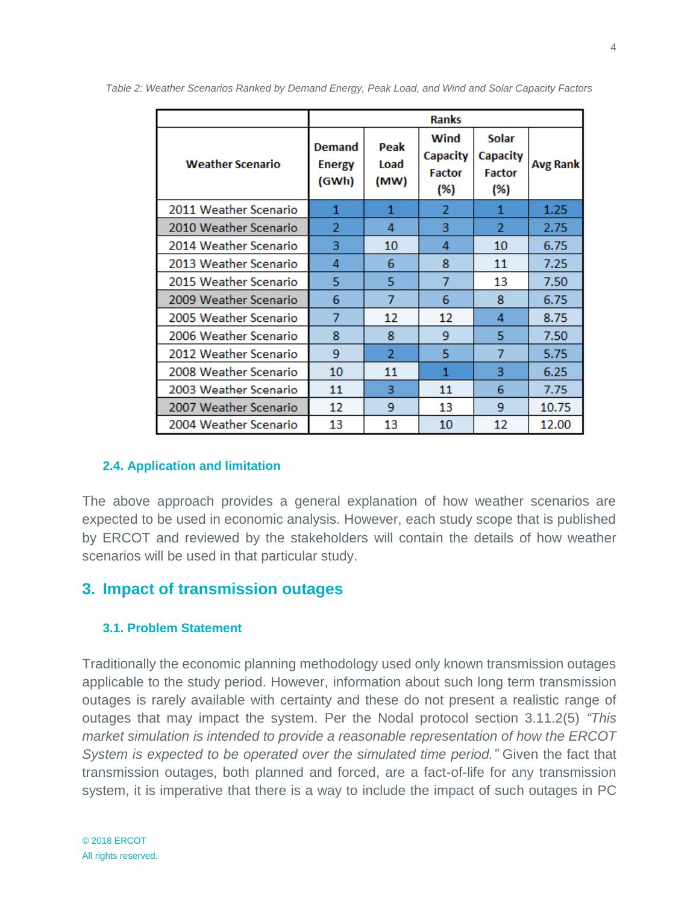|                         | <b>Ranks</b>                            |                      |                                          |                                                  |                 |
|-------------------------|-----------------------------------------|----------------------|------------------------------------------|--------------------------------------------------|-----------------|
| <b>Weather Scenario</b> | <b>Demand</b><br><b>Energy</b><br>(GWh) | Peak<br>Load<br>(MW) | Wind<br>Capacity<br><b>Factor</b><br>(%) | <b>Solar</b><br>Capacity<br><b>Factor</b><br>(%) | <b>Avg Rank</b> |
| 2011 Weather Scenario   | 1                                       | 1                    | $\overline{2}$                           | 1                                                | 1.25            |
| 2010 Weather Scenario   | 2                                       | 4                    | 3                                        | 2                                                | 2.75            |
| 2014 Weather Scenario   | 3                                       | 10                   | 4                                        | 10                                               | 6.75            |
| 2013 Weather Scenario   | 4                                       | 6                    | 8                                        | 11                                               | 7.25            |
| 2015 Weather Scenario   | 5                                       | 5                    | 7                                        | 13                                               | 7.50            |
| 2009 Weather Scenario   | 6                                       | 7                    | 6                                        | 8                                                | 6.75            |
| 2005 Weather Scenario   | 7                                       | 12                   | 12                                       | 4                                                | 8.75            |
| 2006 Weather Scenario   | 8                                       | 8                    | 9                                        | 5                                                | 7.50            |
| 2012 Weather Scenario   | 9                                       | 2                    | 5                                        | 7                                                | 5.75            |
| 2008 Weather Scenario   | 10                                      | 11                   | 1                                        | 3                                                | 6.25            |
| 2003 Weather Scenario   | 11                                      | 3                    | 11                                       | 6                                                | 7.75            |
| 2007 Weather Scenario   | 12                                      | 9                    | 13                                       | 9                                                | 10.75           |
| 2004 Weather Scenario   | 13                                      | 13                   | 10                                       | 12                                               | 12.00           |

*Table 2: Weather Scenarios Ranked by Demand Energy, Peak Load, and Wind and Solar Capacity Factors*

#### <span id="page-6-0"></span>**2.4. Application and limitation**

The above approach provides a general explanation of how weather scenarios are expected to be used in economic analysis. However, each study scope that is published by ERCOT and reviewed by the stakeholders will contain the details of how weather scenarios will be used in that particular study.

### <span id="page-6-1"></span>**3. Impact of transmission outages**

#### <span id="page-6-2"></span>**3.1. Problem Statement**

Traditionally the economic planning methodology used only known transmission outages applicable to the study period. However, information about such long term transmission outages is rarely available with certainty and these do not present a realistic range of outages that may impact the system. Per the Nodal protocol section 3.11.2(5) *"This market simulation is intended to provide a reasonable representation of how the ERCOT System is expected to be operated over the simulated time period."* Given the fact that transmission outages, both planned and forced, are a fact-of-life for any transmission system, it is imperative that there is a way to include the impact of such outages in PC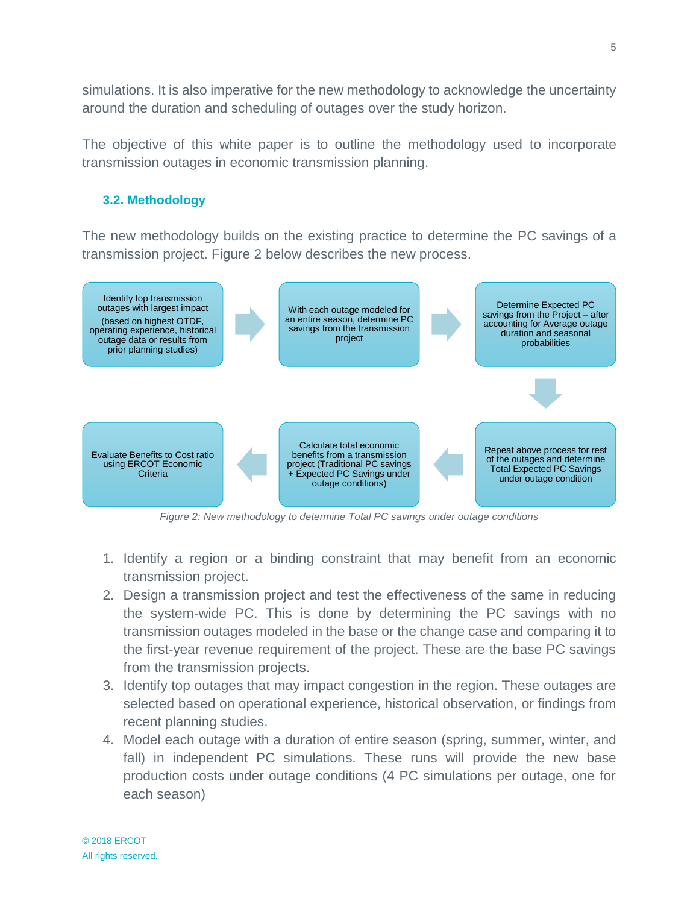simulations. It is also imperative for the new methodology to acknowledge the uncertainty around the duration and scheduling of outages over the study horizon.

The objective of this white paper is to outline the methodology used to incorporate transmission outages in economic transmission planning.

### <span id="page-7-0"></span>**3.2. Methodology**

The new methodology builds on the existing practice to determine the PC savings of a transmission project. Figure 2 below describes the new process.



*Figure 2: New methodology to determine Total PC savings under outage conditions*

- 1. Identify a region or a binding constraint that may benefit from an economic transmission project.
- 2. Design a transmission project and test the effectiveness of the same in reducing the system-wide PC. This is done by determining the PC savings with no transmission outages modeled in the base or the change case and comparing it to the first-year revenue requirement of the project. These are the base PC savings from the transmission projects.
- 3. Identify top outages that may impact congestion in the region. These outages are selected based on operational experience, historical observation, or findings from recent planning studies.
- 4. Model each outage with a duration of entire season (spring, summer, winter, and fall) in independent PC simulations. These runs will provide the new base production costs under outage conditions (4 PC simulations per outage, one for each season)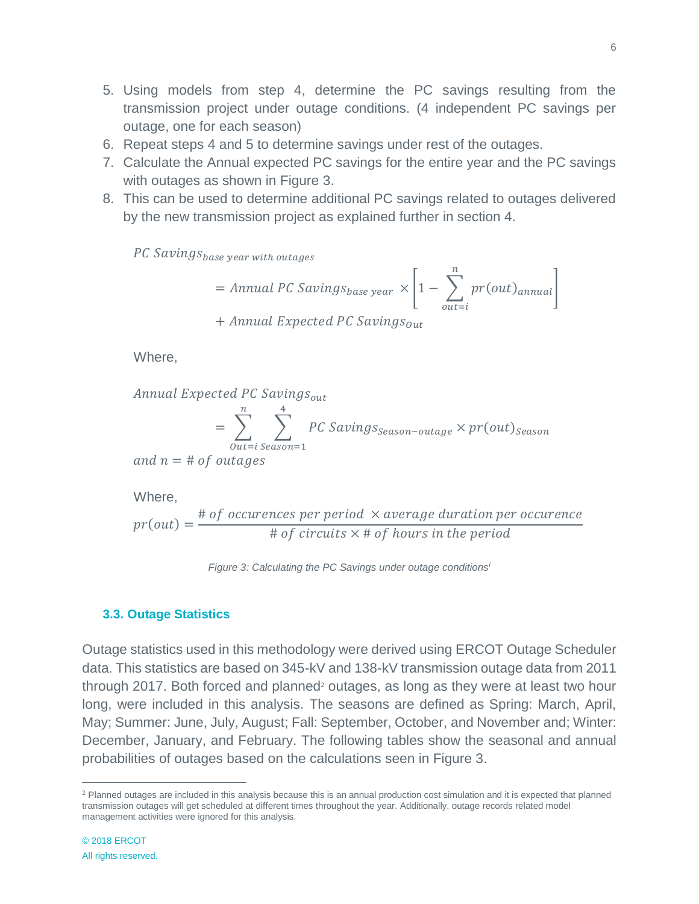- 5. Using models from step 4, determine the PC savings resulting from the transmission project under outage conditions. (4 independent PC savings per
- 6. Repeat steps 4 and 5 to determine savings under rest of the outages.
- 7. Calculate the Annual expected PC savings for the entire year and the PC savings with outages as shown in Figure 3.
- 8. This can be used to determine additional PC savings related to outages delivered by the new transmission project as explained further in section 4.

PC Saving S<sub>base</sub> year with outages

outage, one for each season)

$$
= Annual PC\,Savings_{base\,year} \times \left[1 - \sum_{out=i}^{n} pr(out)_{annual}\right]
$$

 $+$  Annual Expected PC Savings<sub>out</sub>

Where,

$$
Annual Expected PC Savings_{out}
$$
\n
$$
= \sum_{n=1}^{n} \sum_{n=1}^{4} PC Savings_{Sperson - 1}
$$

$$
= \sum_{\text{Out}=i \text{ season}=1} PC\text{ Savings}_{\text{Season}-\text{outage}} \times pr(\text{out})_{\text{Season}}
$$

and  $n = #$  of outages

Where,

$$
pr(out) = \frac{\text{# of occurrences per period} \times average duration per occurrence}{\text{# of circuits} \times \text{# of hours in the period}}
$$

*Figure 3: Calculating the PC Savings under outage conditions<sup>i</sup>*

#### <span id="page-8-0"></span>**3.3. Outage Statistics**

Outage statistics used in this methodology were derived using ERCOT Outage Scheduler data. This statistics are based on 345-kV and 138-kV transmission outage data from 2011 through 2017. Both forced and planned<sup>2</sup> outages, as long as they were at least two hour long, were included in this analysis. The seasons are defined as Spring: March, April, May; Summer: June, July, August; Fall: September, October, and November and; Winter: December, January, and February. The following tables show the seasonal and annual probabilities of outages based on the calculations seen in Figure 3.

 $\overline{a}$ 

 $<sup>2</sup>$  Planned outages are included in this analysis because this is an annual production cost simulation and it is expected that planned</sup> transmission outages will get scheduled at different times throughout the year. Additionally, outage records related model management activities were ignored for this analysis.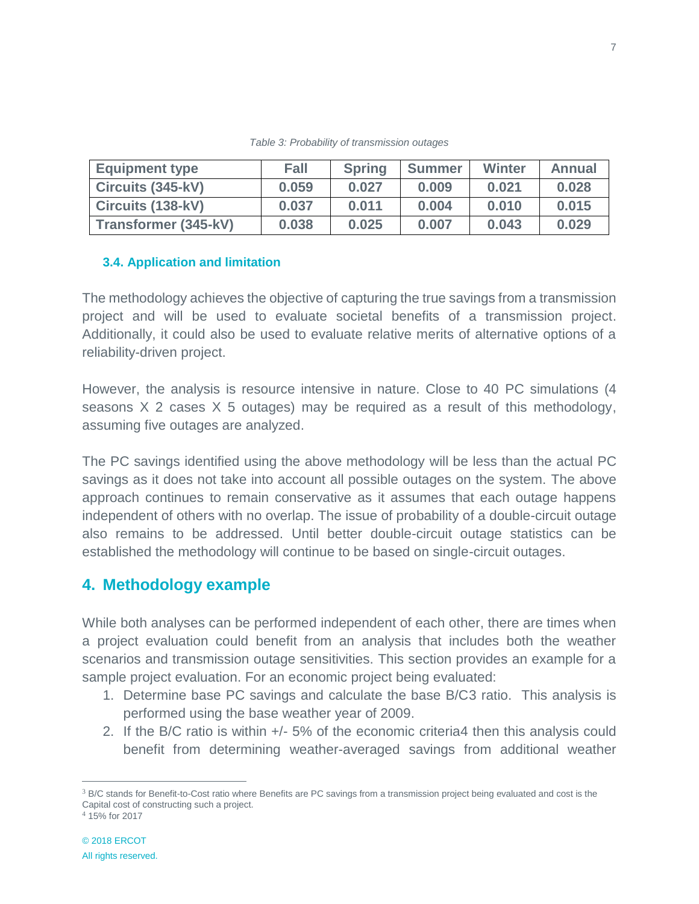| <b>Equipment type</b> | <b>Fall</b> | <b>Spring</b> | <b>Summer</b> | <b>Winter</b> | Annual |
|-----------------------|-------------|---------------|---------------|---------------|--------|
| Circuits (345-kV)     | 0.059       | 0.027         | 0.009         | 0.021         | 0.028  |
| Circuits (138-kV)     | 0.037       | 0.011         | 0.004         | 0.010         | 0.015  |
| Transformer (345-kV)  | 0.038       | 0.025         | 0.007         | 0.043         | 0.029  |

*Table 3: Probability of transmission outages*

### <span id="page-9-0"></span>**3.4. Application and limitation**

The methodology achieves the objective of capturing the true savings from a transmission project and will be used to evaluate societal benefits of a transmission project. Additionally, it could also be used to evaluate relative merits of alternative options of a reliability-driven project.

However, the analysis is resource intensive in nature. Close to 40 PC simulations (4 seasons X 2 cases X 5 outages) may be required as a result of this methodology, assuming five outages are analyzed.

The PC savings identified using the above methodology will be less than the actual PC savings as it does not take into account all possible outages on the system. The above approach continues to remain conservative as it assumes that each outage happens independent of others with no overlap. The issue of probability of a double-circuit outage also remains to be addressed. Until better double-circuit outage statistics can be established the methodology will continue to be based on single-circuit outages.

# <span id="page-9-1"></span>**4. Methodology example**

While both analyses can be performed independent of each other, there are times when a project evaluation could benefit from an analysis that includes both the weather scenarios and transmission outage sensitivities. This section provides an example for a sample project evaluation. For an economic project being evaluated:

- 1. Determine base PC savings and calculate the base B/C3 ratio. This analysis is performed using the base weather year of 2009.
- 2. If the B/C ratio is within +/- 5% of the economic criteria4 then this analysis could benefit from determining weather-averaged savings from additional weather

 $\overline{a}$ 

 $3$  B/C stands for Benefit-to-Cost ratio where Benefits are PC savings from a transmission project being evaluated and cost is the Capital cost of constructing such a project.

<sup>4</sup> 15% for 2017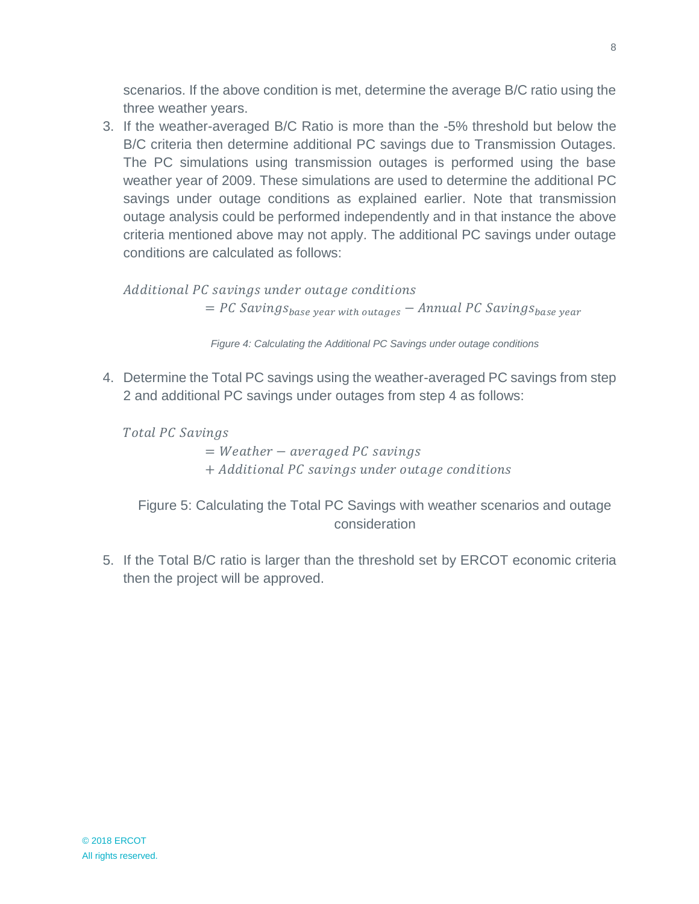scenarios. If the above condition is met, determine the average B/C ratio using the three weather years.

3. If the weather-averaged B/C Ratio is more than the -5% threshold but below the B/C criteria then determine additional PC savings due to Transmission Outages. The PC simulations using transmission outages is performed using the base weather year of 2009. These simulations are used to determine the additional PC savings under outage conditions as explained earlier. Note that transmission outage analysis could be performed independently and in that instance the above criteria mentioned above may not apply. The additional PC savings under outage conditions are calculated as follows:

Additional PC savings under outage conditions  $= PC$  Savings<sub>base</sub> year with outgaes  $-$  Annual PC Savings<sub>base</sub> year

*Figure 4: Calculating the Additional PC Savings under outage conditions*

4. Determine the Total PC savings using the weather-averaged PC savings from step 2 and additional PC savings under outages from step 4 as follows:

Total PC Savings

 $= Weather - averaged PC savings$ + Additional PC savings under outage conditions

Figure 5: Calculating the Total PC Savings with weather scenarios and outage consideration

5. If the Total B/C ratio is larger than the threshold set by ERCOT economic criteria then the project will be approved.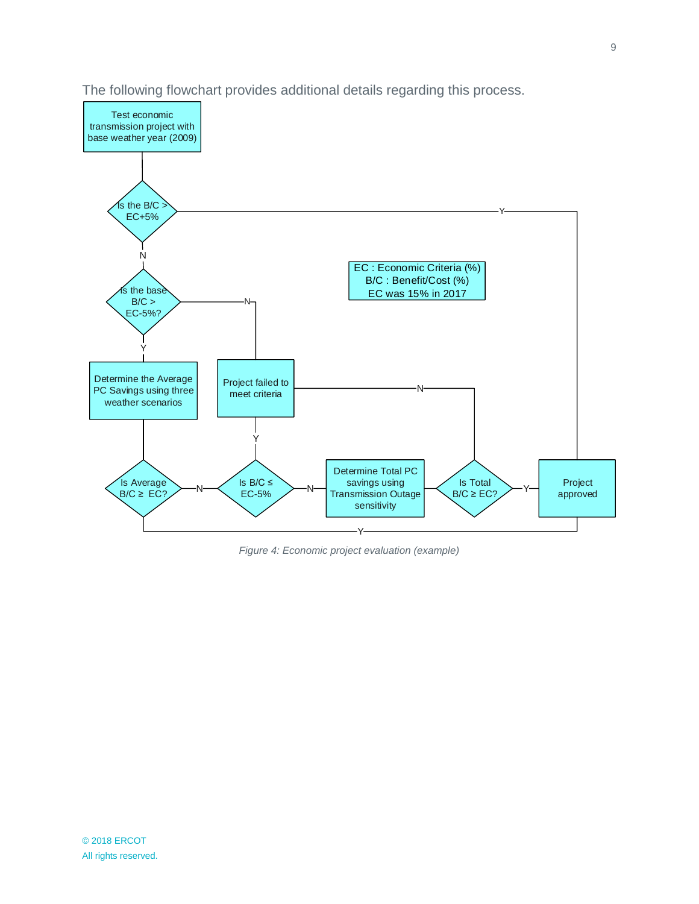

The following flowchart provides additional details regarding this process.

*Figure 4: Economic project evaluation (example)*